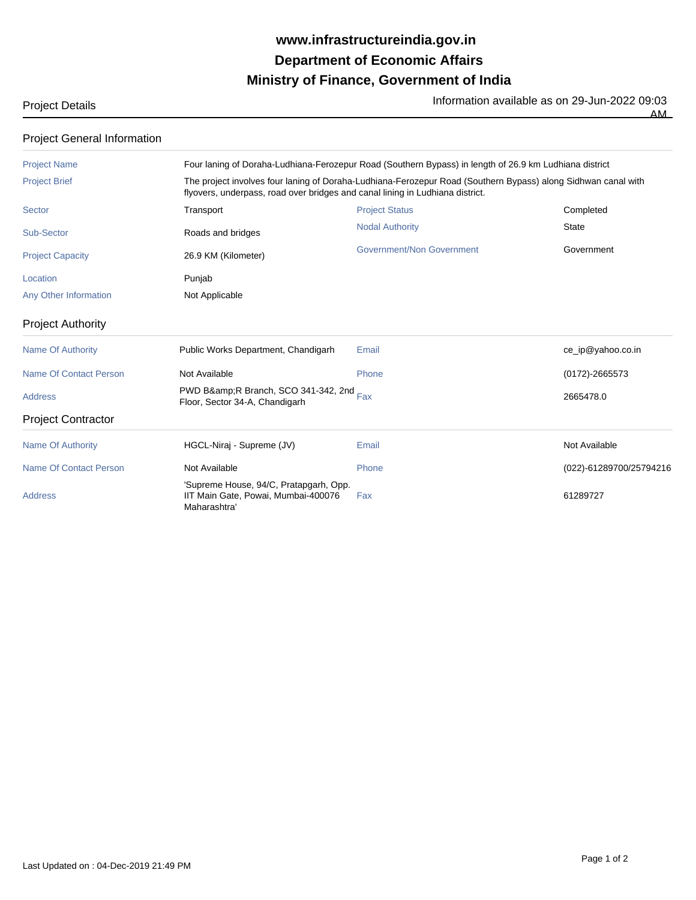## **Ministry of Finance, Government of India Department of Economic Affairs www.infrastructureindia.gov.in**

Project Details **Information available as on 29-Jun-2022** 09:03

 $\overline{AM}$ 

Project General Information

| <b>Project Name</b>           | Four laning of Doraha-Ludhiana-Ferozepur Road (Southern Bypass) in length of 26.9 km Ludhiana district                                                                                         |                           |                         |  |
|-------------------------------|------------------------------------------------------------------------------------------------------------------------------------------------------------------------------------------------|---------------------------|-------------------------|--|
| <b>Project Brief</b>          | The project involves four laning of Doraha-Ludhiana-Ferozepur Road (Southern Bypass) along Sidhwan canal with<br>flyovers, underpass, road over bridges and canal lining in Ludhiana district. |                           |                         |  |
| Sector                        | Transport                                                                                                                                                                                      | <b>Project Status</b>     | Completed               |  |
| Sub-Sector                    | Roads and bridges                                                                                                                                                                              | <b>Nodal Authority</b>    | <b>State</b>            |  |
| <b>Project Capacity</b>       | 26.9 KM (Kilometer)                                                                                                                                                                            | Government/Non Government | Government              |  |
| Location                      | Punjab                                                                                                                                                                                         |                           |                         |  |
| Any Other Information         | Not Applicable                                                                                                                                                                                 |                           |                         |  |
| <b>Project Authority</b>      |                                                                                                                                                                                                |                           |                         |  |
| <b>Name Of Authority</b>      | Public Works Department, Chandigarh                                                                                                                                                            | Email                     | ce_ip@yahoo.co.in       |  |
| Name Of Contact Person        | Not Available                                                                                                                                                                                  | Phone                     | $(0172) - 2665573$      |  |
| <b>Address</b>                | PWD B&R Branch, SCO 341-342, 2nd Fax<br>Floor, Sector 34-A, Chandigarh                                                                                                                         |                           | 2665478.0               |  |
| <b>Project Contractor</b>     |                                                                                                                                                                                                |                           |                         |  |
| Name Of Authority             | HGCL-Niraj - Supreme (JV)                                                                                                                                                                      | Email                     | Not Available           |  |
| <b>Name Of Contact Person</b> | Not Available                                                                                                                                                                                  | Phone                     | (022)-61289700/25794216 |  |
| <b>Address</b>                | 'Supreme House, 94/C, Pratapgarh, Opp.<br>IIT Main Gate, Powai, Mumbai-400076<br>Maharashtra                                                                                                   | Fax                       | 61289727                |  |
|                               |                                                                                                                                                                                                |                           |                         |  |